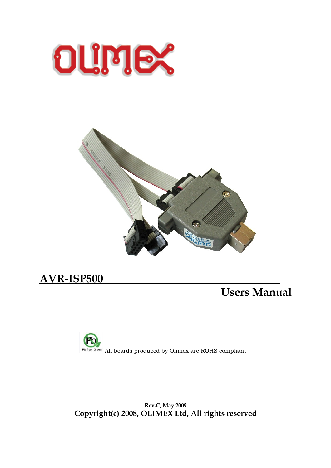



 $\overline{a}$ 

# **AVR-ISP500**

# **Users Manual**



**Rev.C, May 2009 Copyright(c) 2008, OLIMEX Ltd, All rights reserved**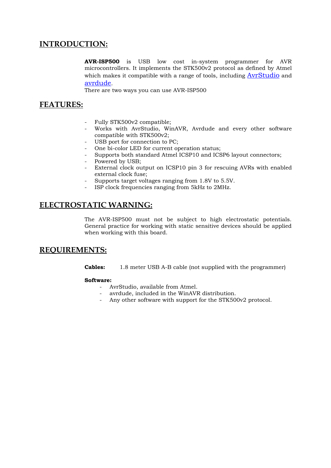# **INTRODUCTION:**

**AVR-ISP500** is USB low cost in-system programmer for AVR microcontrollers. It implements the STK500v2 protocol as defined by Atmel which makes it compatible with a range of tools, including [AvrStudio](http://www.atmel.com/avrstudio) and [avrdude](http://savannah.gnu.org/projects/avrdude/).

There are two ways you can use AVR-ISP500

## **FEATURES:**

- Fully STK500v2 compatible;
- Works with AvrStudio, WinAVR, Avrdude and every other software compatible with STK500v2;
- USB port for connection to PC;
- One bi-color LED for current operation status;
- Supports both standard Atmel ICSP10 and ICSP6 layout connectors;
- Powered by USB;
- External clock output on ICSP10 pin 3 for rescuing AVRs with enabled external clock fuse;
- Supports target voltages ranging from 1.8V to 5.5V.
- ISP clock frequencies ranging from 5kHz to 2MHz.

## **ELECTROSTATIC WARNING:**

The AVR-ISP500 must not be subject to high electrostatic potentials. General practice for working with static sensitive devices should be applied when working with this board.

## **REQUIREMENTS:**

**Cables:** 1.8 meter USB A-B cable (not supplied with the programmer)

#### **Software:**

- AvrStudio, available from Atmel.
- avrdude, included in the WinAVR distribution.
- Any other software with support for the STK500v2 protocol.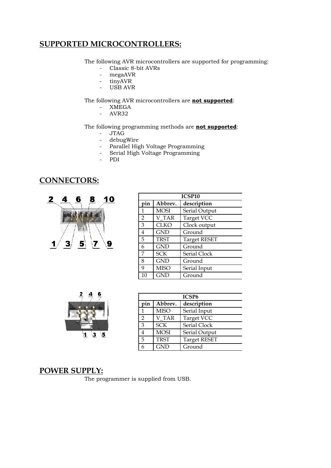## **SUPPORTED MICROCONTROLLERS:**

The following AVR microcontrollers are supported for programming:

- Classic 8-bit AVRs
- megaAVR
- tinyAVR
- USB AVR

The following AVR microcontrollers are **not supported**:

- XMEGA
- AVR32

#### The following programming methods are **not supported**:

- JTAG
- debugWire
- Parallel High Voltage Programming
- Serial High Voltage Programming
- PDI

# **CONNECTORS:**



| ICSP <sub>10</sub> |             |                     |  |
|--------------------|-------------|---------------------|--|
| pin<br>Abbrev.     |             | description         |  |
|                    | <b>MOSI</b> | Serial Output       |  |
| $\overline{2}$     | V TAR       | Target VCC          |  |
| 3                  | <b>CLKO</b> | Clock output        |  |
| $\overline{4}$     | <b>GND</b>  | Ground              |  |
| 5                  | <b>TRST</b> | <b>Target RESET</b> |  |
| 6                  | <b>GND</b>  | Ground              |  |
| 7                  | <b>SCK</b>  | Serial Clock        |  |
| 8                  | <b>GND</b>  | Ground              |  |
| 9                  | <b>MISO</b> | Serial Input        |  |
| 10                 | <b>GND</b>  | Ground              |  |



| ICSP <sub>6</sub> |             |                     |  |
|-------------------|-------------|---------------------|--|
| pin               | Abbrev.     | description         |  |
|                   | <b>MISO</b> | Serial Input        |  |
| $\mathcal{P}$     | V TAR       | Target VCC          |  |
| 3                 | <b>SCK</b>  | Serial Clock        |  |
|                   | <b>MOSI</b> | Serial Output       |  |
| 5                 | <b>TRST</b> | <b>Target RESET</b> |  |
|                   | <b>GND</b>  | Ground              |  |

## **POWER SUPPLY:**

The programmer is supplied from USB.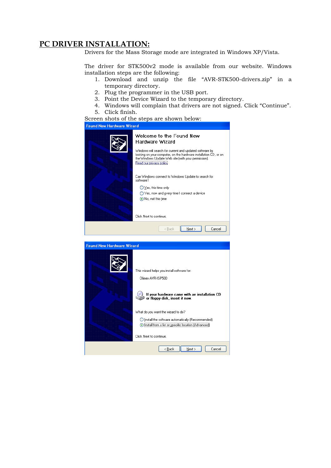## **PC DRIVER INSTALLATION:**

Drivers for the Mass Storage mode are integrated in Windows XP/Vista.

The driver for STK500v2 mode is available from our website. Windows installation steps are the following:

- 1. Download and unzip the file "AVR-STK500-drivers.zip" in a temporary directory.
- 2. Plug the programmer in the USB port.
- 3. Point the Device Wizard to the temporary directory.
- 4. Windows will complain that drivers are not signed. Click "Continue".
- 5. Click finish.

Screen shots of the steps are shown below:

#### **Found New Hardware Wizard**

| Welcome to the Found New<br>Hardware Wizard                                                                                                                                                                   |
|---------------------------------------------------------------------------------------------------------------------------------------------------------------------------------------------------------------|
| Windows will search for current and updated software by<br>looking on your computer, on the hardware installation CD, or on<br>the Windows Update Web site (with your permission).<br>Read our privacy policy |
| Can Windows connect to Windows Update to search for<br>software?                                                                                                                                              |
| $\bigcirc$ Yes, this time only                                                                                                                                                                                |
| Yes, now and every time I connect a device                                                                                                                                                                    |
| ● No, not this time                                                                                                                                                                                           |
|                                                                                                                                                                                                               |
| Click Next to continue.                                                                                                                                                                                       |
| Next ><br>Cancel<br>< Back                                                                                                                                                                                    |
|                                                                                                                                                                                                               |

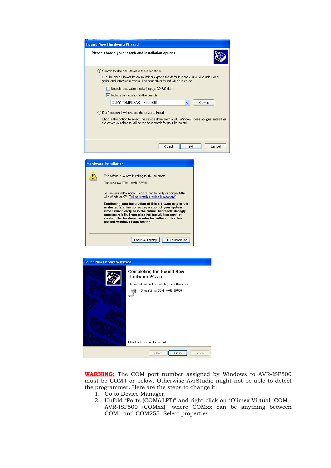| <b>Found New Hardware Wizard</b>                                                                                                                               |
|----------------------------------------------------------------------------------------------------------------------------------------------------------------|
| Please choose your search and installation options.                                                                                                            |
| ● Search for the best driver in these locations.                                                                                                               |
| Use the check boxes below to limit or expand the default search, which includes local<br>paths and removable media. The best driver found will be installed.   |
| Search removable media (floppy, CD-ROM)                                                                                                                        |
| $\triangledown$ Include this location in the search:                                                                                                           |
| C:\MY_TEMPORARY_FOLDER<br><b>Browse</b>                                                                                                                        |
| Don't search. I will choose the driver to install.                                                                                                             |
| Choose this option to select the device driver from a list. Windows does not quarantee that<br>the driver you choose will be the best match for your hardware. |
|                                                                                                                                                                |
| < Back<br>Next ><br>Cancel                                                                                                                                     |
|                                                                                                                                                                |

| <b>Hardware Installation</b>                                                                                                                                                                                                                              |
|-----------------------------------------------------------------------------------------------------------------------------------------------------------------------------------------------------------------------------------------------------------|
| The software you are installing for this hardware:<br>Olimex Virtual COM - AVB-ISP500                                                                                                                                                                     |
| has not passed Windows Logo testing to verify its compatibility<br>with Windows XP. [Tell me why this testing is important.]<br>Continuing your installation of this software may impair                                                                  |
| or destabilize the correct operation of your system<br>either immediately or in the future. Microsoft strongly<br>recommends that you stop this installation now and<br>contact the hardware vendor for software that has<br>passed Windows Logo testing. |
| STOP Installation<br>Continue Anyway                                                                                                                                                                                                                      |



**WARNING:** The COM port number assigned by Windows to AVR-ISP500 must be COM4 or below. Otherwise AvrStudio might not be able to detect the programmer. Here are the steps to change it:

- 1. Go to Device Manager.
- 2. Unfold "Ports (COM&LPT)" and right-click on "Olimex Virtual COM AVR-ISP500 (COMxx)" where COMxx can be anything between COM1 and COM255. Select properties.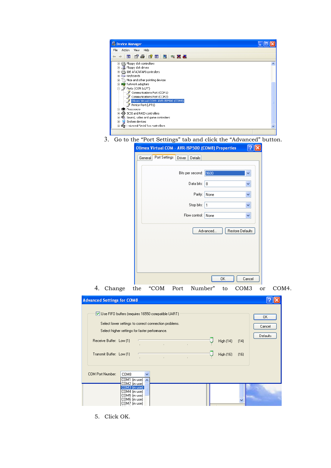

3. Go to the "Port Settings" tab and click the "Advanced" button.

| Olimex Virtual COM - AVR-ISP500 (COM8) Properties<br> ?∥×∣         |
|--------------------------------------------------------------------|
| Port Settings<br>Driver   Details<br>General                       |
| Bits per second:   9600<br>Y                                       |
| Data bits: 8<br>Y                                                  |
| Y<br>Parity:<br>None                                               |
| Y<br>Stop bits: 1                                                  |
| v<br>Flow control: None                                            |
| Restore Defaults<br>Advanced                                       |
| OK<br>Cancel                                                       |
| Change<br>"COM<br>Number"<br>the<br>Port<br>COM <sub>3</sub><br>to |

| <b>Advanced Settings for COM8</b>                                                                                                                                                                                                                                                                                               |                                 |
|---------------------------------------------------------------------------------------------------------------------------------------------------------------------------------------------------------------------------------------------------------------------------------------------------------------------------------|---------------------------------|
| Use FIFO buffers (requires 16550 compatible UART)<br>Select lower settings to correct connection problems.<br>Select higher settings for faster performance.<br>Receive Buffer: Low [1]<br>High (14)<br>(14)<br>$\mathbf{r}$<br>Transmit Buffer: Low [1]<br>High (16)<br>(16)<br>$\mathbb{R}$<br>$\mathbb{R}^2$<br>$\mathbf{I}$ | 0K<br>Cancel<br><b>Defaults</b> |
| COM Port Number:<br>COM8<br>$\checkmark$<br>COM1 (in use) $\sim$<br>COM2 (in use)<br>COM3 (in use)<br>COM4 (in use)<br>COM5 (in use)<br>COM6 (in use)<br>COM7 (in use)                                                                                                                                                          |                                 |

5. Click OK.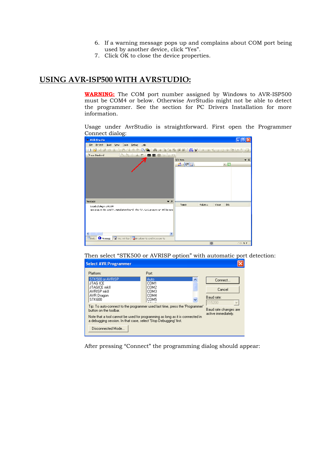- 6. If a warning message pops up and complains about COM port being used by another device, click "Yes".
- 7. Click OK to close the device properties.

# **USING AVR-ISP500 WITH AVRSTUDIO:**

**WARNING:** The COM port number assigned by Windows to AVR-ISP500 must be COM4 or below. Otherwise AvrStudio might not be able to detect the programmer. See the section for PC Drivers Installation for more information.

Usage under AvrStudio is straightforward. First open the Programmer Connect dialog:

| <b>AVR Studio</b>                                                                   |               |                 |                  |
|-------------------------------------------------------------------------------------|---------------|-----------------|------------------|
| Die Breject Duid View Loois Debug Leip                                              |               |                 |                  |
| 15 % を直倒すが店風 5 品 ふ 泳 泳 落 頭 第 5 品 5 人 5 。 11 出 m 13 小 を Unisting<br>124.0            |               |                 |                  |
| 1. 多多千里不 100 00 糖多多的<br>Trace Disabled                                              |               |                 |                  |
|                                                                                     | T/O Yes       |                 | $\star$ $\times$ |
|                                                                                     | 影「陽田」         |                 | $\cdot$ Fi       |
|                                                                                     |               |                 |                  |
|                                                                                     |               |                 |                  |
|                                                                                     |               |                 |                  |
|                                                                                     |               |                 |                  |
|                                                                                     |               |                 |                  |
|                                                                                     |               |                 |                  |
| Мессад≘                                                                             | $\star$ x     |                 |                  |
| Loaded alugin 51K500                                                                | Name          | Address<br>Vaue | Uts              |
| got plug-n: No win/.V-, installation found lithe AV-. GCC plug-in can still be used |               |                 |                  |
|                                                                                     |               |                 |                  |
|                                                                                     |               |                 |                  |
|                                                                                     |               |                 |                  |
| $\left\langle \cdot \right\rangle$ . The set of $\left\langle \cdot \right\rangle$  | $\rightarrow$ |                 |                  |
| 日Bulb O Mossage   Fairman Hites   Dalersakoonts and tracebonts                      |               |                 |                  |
|                                                                                     |               |                 | CAP N T          |

Then select "STK500 or AVRISP option" with automatic port detection:

| <b>Select AVR Programmer</b>                                                                                                                                                                                                                                  |                                                                                        |                                           |
|---------------------------------------------------------------------------------------------------------------------------------------------------------------------------------------------------------------------------------------------------------------|----------------------------------------------------------------------------------------|-------------------------------------------|
| Platform:<br>STK500 or AVRISP<br>JTAG ICE<br><b>JTAGICE mkll</b><br>AVRISP mkll<br>AVR Dragon<br>STK600                                                                                                                                                       | Port:<br>Auto<br>$\overline{\phantom{a}}$<br>COM1<br>≣<br>COM2<br>COM3<br>COM4<br>COM5 | Connect<br>Cancel<br>Baud rate:<br>115200 |
| Tip: To auto-connect to the programmer used last time, press the 'Programmer'<br>button on the toolbar.<br>Note that a tool cannot be used for programming as long as it is connected in<br>a debugging session. In that case, select 'Stop Debugging' first. | Baud rate changes are<br>active immediately.                                           |                                           |
| Disconnected Mode                                                                                                                                                                                                                                             |                                                                                        |                                           |

After pressing "Connect" the programming dialog should appear: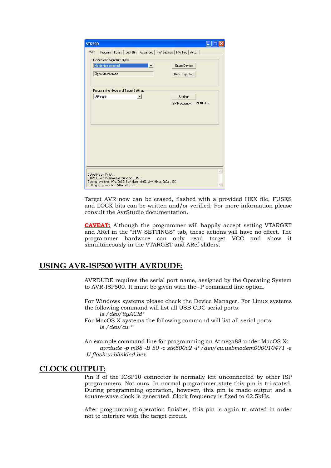| Program   Fuses   LockBits   Advanced   HW Settings   HW Info   Auto<br>Main<br>Device and Signature Bytes-<br>No device selected<br>Erase Device<br>Signature not read<br>Read Signature<br>Programming Mode and Target Settings:<br>ISP mode<br>Settings<br>19.40 kHz<br>ISP Frequency: | <b>STK500</b> |          |
|-------------------------------------------------------------------------------------------------------------------------------------------------------------------------------------------------------------------------------------------------------------------------------------------|---------------|----------|
|                                                                                                                                                                                                                                                                                           |               |          |
|                                                                                                                                                                                                                                                                                           |               |          |
|                                                                                                                                                                                                                                                                                           |               |          |
|                                                                                                                                                                                                                                                                                           |               |          |
|                                                                                                                                                                                                                                                                                           |               |          |
|                                                                                                                                                                                                                                                                                           |               |          |
| Detecting on 'Auto'<br>STK500 with V2 firmware found on COM3:<br>Getting revisions HW: 0x02, SW Major: 0x02, SW Minor: 0x0a  OK                                                                                                                                                           |               | $\wedge$ |

Target AVR now can be erased, flashed with a provided HEX file, FUSES and LOCK bits can be written and/or verified. For more information please consult the AvrStudio documentation.

**CAVEAT:** Although the programmer will happily accept setting VTARGET and ARef in the "HW SETTINGS" tab, these actions will have no effect. The programmer hardware can only read target VCC and show it simultaneously in the VTARGET and ARef sliders.

## **USING AVR-ISP500 WITH AVRDUDE:**

AVRDUDE requires the serial port name, assigned by the Operating System to AVR-ISP500. It must be given with the -P command line option.

For Windows systems please check the Device Manager. For Linux systems the following command will list all USB CDC serial ports: *ls /dev/ttyACM\**

For MacOS X systems the following command will list all serial ports: *ls /dev/cu.\**

An example command line for programming an Atmega88 under MacOS X: *avrdude -p m88 -B 50 -c stk500v2 -P /dev/cu.usbmodem000010471 -e -U flash:w:blinkled.hex*

### **CLOCK OUTPUT:**

Pin 3 of the ICSP10 connector is normally left unconnected by other ISP programmers. Not ours. In normal programmer state this pin is tri-stated. During programming operation, however, this pin is made output and a square-wave clock is generated. Clock frequency is fixed to 62.5kHz.

After programming operation finishes, this pin is again tri-stated in order not to interfere with the target circuit.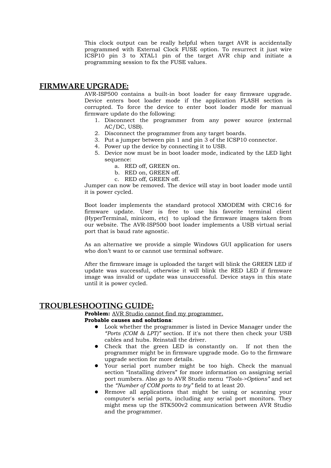This clock output can be really helpful when target AVR is accidentally programmed with External Clock FUSE option. To resurrect it just wire ICSP10 pin 3 to XTAL1 pin of the target AVR chip and initiate a programming session to fix the FUSE values.

### **FIRMWARE UPGRADE:**

AVR-ISP500 contains a built-in boot loader for easy firmware upgrade. Device enters boot loader mode if the application FLASH section is corrupted. To force the device to enter boot loader mode for manual firmware update do the following:

- 1. Disconnect the programmer from any power source (external AC/DC, USB).
- 2. Disconnect the programmer from any target boards.
- 3. Put a jumper between pin 1 and pin 3 of the ICSP10 connector.
- 4. Power up the device by connecting it to USB.
- 5. Device now must be in boot loader mode, indicated by the LED light sequence:
	- a. RED off, GREEN on.
	- b. RED on, GREEN off.
	- c. RED off, GREEN off.

Jumper can now be removed. The device will stay in boot loader mode until it is power cycled.

Boot loader implements the standard protocol XMODEM with CRC16 for firmware update. User is free to use his favorite terminal client (HyperTerminal, minicom, etc) to upload the firmware images taken from our website. The AVR-ISP500 boot loader implements a USB virtual serial port that is baud rate agnostic.

As an alternative we provide a simple Windows GUI application for users who don't want to or cannot use terminal software.

After the firmware image is uploaded the target will blink the GREEN LED if update was successful, otherwise it will blink the RED LED if firmware image was invalid or update was unsuccessful. Device stays in this state until it is power cycled.

### **TROUBLESHOOTING GUIDE:**

**Problem:** AVR Studio cannot find my programmer.

#### **Probable causes and solutions**:

- Look whether the programmer is listed in Device Manager under the *"Ports (COM & LPT)"* section. If it's not there then check your USB cables and hubs. Reinstall the driver.
- Check that the green LED is constantly on. If not then the programmer might be in firmware upgrade mode. Go to the firmware upgrade section for more details.
- Your serial port number might be too high. Check the manual section "Installing drivers" for more information on assigning serial port numbers. Also go to AVR Studio menu *"Tools->Options"* and set the *"Number of COM ports to try"* field to at least 20.
- Remove all applications that might be using or scanning your computer's serial ports, including any serial port monitors. They might mess up the STK500v2 communication between AVR Studio and the programmer.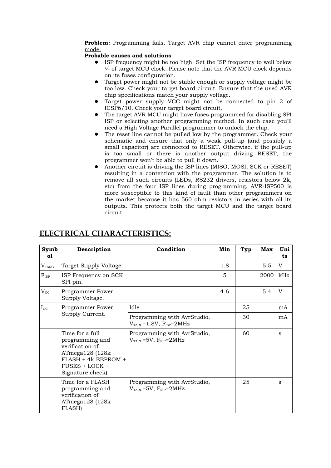#### **Problem:** Programming fails. Target AVR chip cannot enter programming mode.

#### **Probable causes and solutions**:

- ISP frequency might be too high. Set the ISP frequency to well below ¼ of target MCU clock. Please note that the AVR MCU clock depends on its fuses configuration.
- Target power might not be stable enough or supply voltage might be too low. Check your target board circuit. Ensure that the used AVR chip specifications match your supply voltage.
- Target power supply VCC might not be connected to pin 2 of ICSP6/10. Check your target board circuit.
- The target AVR MCU might have fuses programmed for disabling SPI ISP or selecting another programming method. In such case you'll need a High Voltage Parallel programmer to unlock the chip.
- The reset line cannot be pulled low by the programmer. Check your schematic and ensure that only a weak pull-up (and possibly a small capacitor) are connected to RESET. Otherwise, if the pull-up is too small or there is another output driving RESET, the programmer won't be able to pull it down.
- Another circuit is driving the ISP lines (MISO, MOSI, SCK or RESET) resulting in a contention with the programmer. The solution is to remove all such circuits (LEDs, RS232 drivers, resistors below 2k, etc) from the four ISP lines during programming. AVR-ISP500 is more susceptible to this kind of fault than other programmers on the market because it has 560 ohm resistors in series with all its outputs. This protects both the target MCU and the target board circuit.

| Symb<br>o1     | Description                                                                                                                           | Condition                                               | Min | Typ | <b>Max</b> | Uni<br>ts |
|----------------|---------------------------------------------------------------------------------------------------------------------------------------|---------------------------------------------------------|-----|-----|------------|-----------|
| $\rm V_{TARG}$ | Target Supply Voltage.                                                                                                                |                                                         | 1.8 |     | 5.5        | V         |
| $F_{\rm ISP}$  | ISP Frequency on SCK<br>SPI pin.                                                                                                      |                                                         | 5   |     | 2000       | kHz       |
| $V_{\rm CC}$   | Programmer Power<br>Supply Voltage.                                                                                                   |                                                         | 4.6 |     | 5.4        | V         |
| $I_{\rm CC}$   | Programmer Power                                                                                                                      | Idle                                                    |     | 25  |            | mA        |
|                | Supply Current.                                                                                                                       | Programming with AvrStudio,<br>$VTARG=1.8V, FISP=2MHz$  |     | 30  |            | mA        |
|                | Time for a full<br>programming and<br>verification of<br>ATmega128 (128k<br>FLASH + 4k EEPROM +<br>FUSES + LOCK +<br>Signature check) | Programming with AvrStudio,<br>$VTARG=5V$ , $FISP=2MHz$ |     | 60  |            | S         |
|                | Time for a FLASH<br>programming and<br>verification of<br>ATmega128(128k)<br>FLASH)                                                   | Programming with AvrStudio,<br>$VTARG=5V, FISP=2MHz$    |     | 25  |            | S         |

# **ELECTRICAL CHARACTERISTICS:**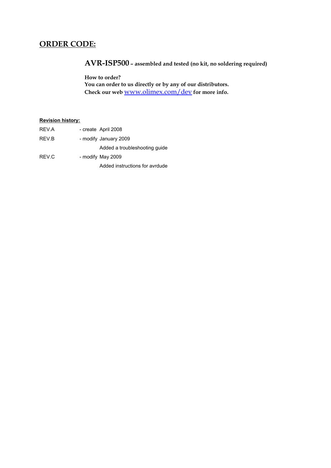# **ORDER CODE:**

# **AVR-ISP500 – assembled and tested (no kit, no soldering required)**

**How to order? You can order to us directly or by any of our distributors. Check our web** [www.olimex.com/dev](http://www.olimex.com/dev) **for more info.**

#### **Revision history:**

| REV.A | - create April 2008            |
|-------|--------------------------------|
| REV.B | - modify January 2009          |
|       | Added a troubleshooting quide  |
| REV.C | - modify May 2009              |
|       | Added instructions for avrdude |